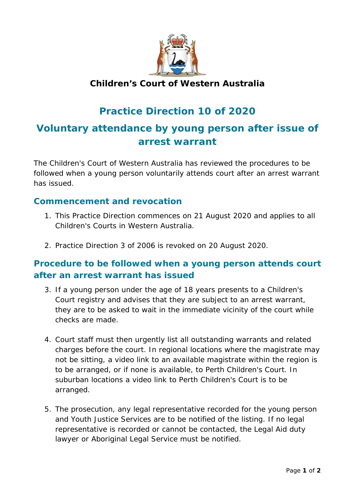

### **Children's Court of Western Australia**

# **Practice Direction 10 of 2020**

# **Voluntary attendance by young person after issue of arrest warrant**

The Children's Court of Western Australia has reviewed the procedures to be followed when a young person voluntarily attends court after an arrest warrant has issued.

#### **Commencement and revocation**

- 1. This Practice Direction commences on 21 August 2020 and applies to all Children's Courts in Western Australia.
- 2. Practice Direction 3 of 2006 is revoked on 20 August 2020.

#### **Procedure to be followed when a young person attends court after an arrest warrant has issued**

- 3. If a young person under the age of 18 years presents to a Children's Court registry and advises that they are subject to an arrest warrant, they are to be asked to wait in the immediate vicinity of the court while checks are made.
- 4. Court staff must then urgently list all outstanding warrants and related charges before the court. In regional locations where the magistrate may not be sitting, a video link to an available magistrate within the region is to be arranged, or if none is available, to Perth Children's Court. In suburban locations a video link to Perth Children's Court is to be arranged.
- 5. The prosecution, any legal representative recorded for the young person and Youth Justice Services are to be notified of the listing. If no legal representative is recorded or cannot be contacted, the Legal Aid duty lawyer or Aboriginal Legal Service must be notified.